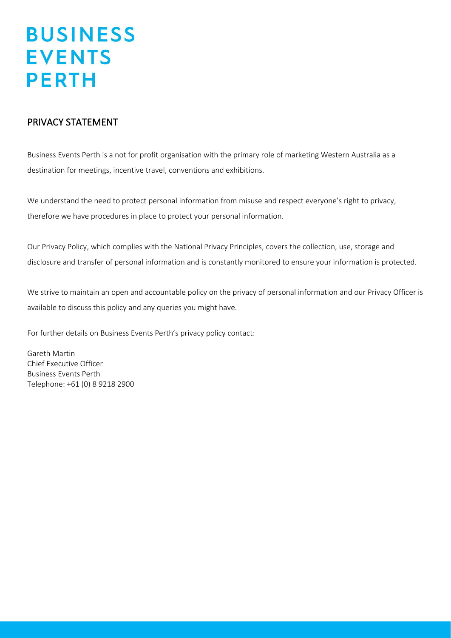### PRIVACY STATEMENT

Business Events Perth is a not for profit organisation with the primary role of marketing Western Australia as a destination for meetings, incentive travel, conventions and exhibitions.

We understand the need to protect personal information from misuse and respect everyone's right to privacy, therefore we have procedures in place to protect your personal information.

Our Privacy Policy, which complies with the National Privacy Principles, covers the collection, use, storage and disclosure and transfer of personal information and is constantly monitored to ensure your information is protected.

We strive to maintain an open and accountable policy on the privacy of personal information and our Privacy Officer is available to discuss this policy and any queries you might have.

For further details on Business Events Perth's privacy policy contact:

Gareth Martin Chief Executive Officer Business Events Perth Telephone: +61 (0) 8 9218 2900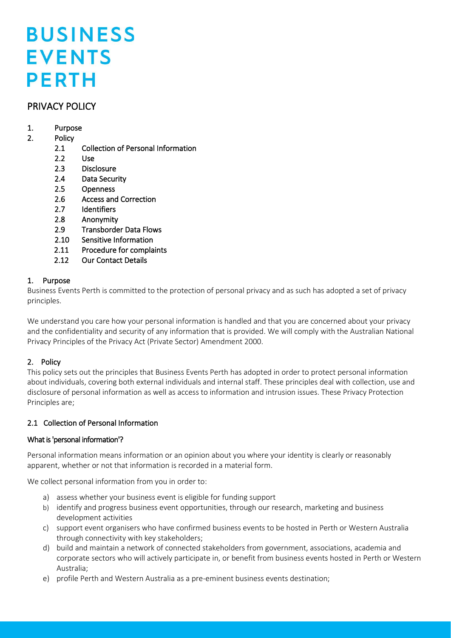### PRIVACY POLICY

### 1. Purpose

### 2. Policy

- 2.1 Collection of Personal Information
- 2.2 Use
- 2.3 Disclosure
- 2.4 Data Security
- 2.5 Openness
- 2.6 Access and Correction
- 2.7 Identifiers
- 2.8 Anonymity
- 2.9 Transborder Data Flows
- 2.10 Sensitive Information
- 2.11 Procedure for complaints
- 2.12 Our Contact Details

### 1. Purpose

Business Events Perth is committed to the protection of personal privacy and as such has adopted a set of privacy principles.

We understand you care how your personal information is handled and that you are concerned about your privacy and the confidentiality and security of any information that is provided. We will comply with the Australian National Privacy Principles of the Privacy Act (Private Sector) Amendment 2000.

### 2. Policy

This policy sets out the principles that Business Events Perth has adopted in order to protect personal information about individuals, covering both external individuals and internal staff. These principles deal with collection, use and disclosure of personal information as well as access to information and intrusion issues. These Privacy Protection Principles are;

### 2.1 Collection of Personal Information

### What is 'personal information'?

Personal information means information or an opinion about you where your identity is clearly or reasonably apparent, whether or not that information is recorded in a material form.

We collect personal information from you in order to:

- a) assess whether your business event is eligible for funding support
- b) identify and progress business event opportunities, through our research, marketing and business development activities
- c) support event organisers who have confirmed business events to be hosted in Perth or Western Australia through connectivity with key stakeholders;
- d) build and maintain a network of connected stakeholders from government, associations, academia and corporate sectors who will actively participate in, or benefit from business events hosted in Perth or Western Australia;
- e) profile Perth and Western Australia as a pre-eminent business events destination;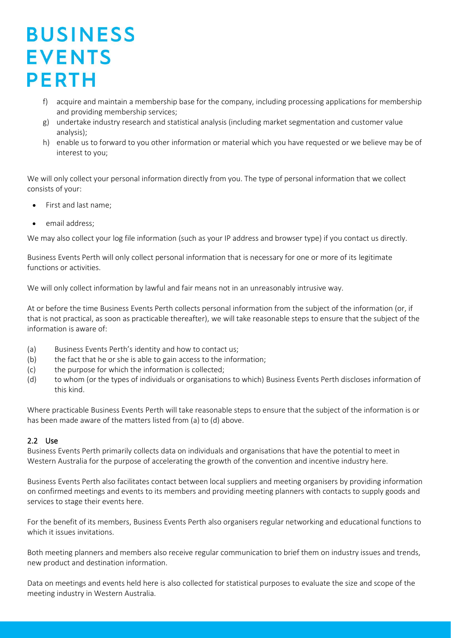- f) acquire and maintain a membership base for the company, including processing applications for membership and providing membership services;
- g) undertake industry research and statistical analysis (including market segmentation and customer value analysis);
- h) enable us to forward to you other information or material which you have requested or we believe may be of interest to you;

We will only collect your personal information directly from you. The type of personal information that we collect consists of your:

- First and last name;
- email address:

We may also collect your log file information (such as your IP address and browser type) if you contact us directly.

Business Events Perth will only collect personal information that is necessary for one or more of its legitimate functions or activities.

We will only collect information by lawful and fair means not in an unreasonably intrusive way.

At or before the time Business Events Perth collects personal information from the subject of the information (or, if that is not practical, as soon as practicable thereafter), we will take reasonable steps to ensure that the subject of the information is aware of:

- (a) Business Events Perth's identity and how to contact us;
- (b) the fact that he or she is able to gain access to the information;
- (c) the purpose for which the information is collected;
- (d) to whom (or the types of individuals or organisations to which) Business Events Perth discloses information of this kind.

Where practicable Business Events Perth will take reasonable steps to ensure that the subject of the information is or has been made aware of the matters listed from (a) to (d) above.

### 2.2 Use

Business Events Perth primarily collects data on individuals and organisations that have the potential to meet in Western Australia for the purpose of accelerating the growth of the convention and incentive industry here.

Business Events Perth also facilitates contact between local suppliers and meeting organisers by providing information on confirmed meetings and events to its members and providing meeting planners with contacts to supply goods and services to stage their events here.

For the benefit of its members, Business Events Perth also organisers regular networking and educational functions to which it issues invitations.

Both meeting planners and members also receive regular communication to brief them on industry issues and trends, new product and destination information.

Data on meetings and events held here is also collected for statistical purposes to evaluate the size and scope of the meeting industry in Western Australia.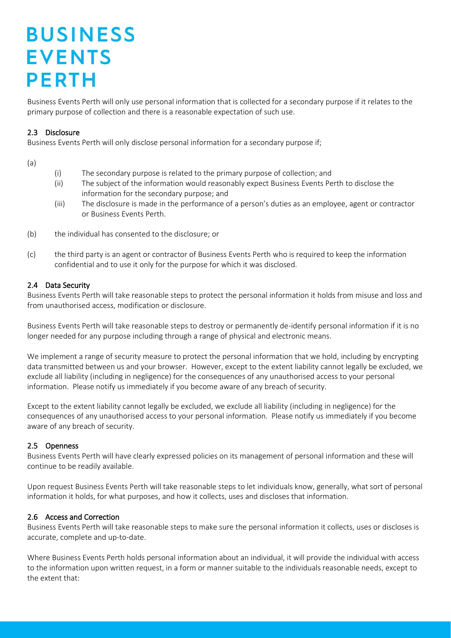Business Events Perth will only use personal information that is collected for a secondary purpose if it relates to the primary purpose of collection and there is a reasonable expectation of such use.

### 2.3 Disclosure

Business Events Perth will only disclose personal information for a secondary purpose if;

(a)

- (i) The secondary purpose is related to the primary purpose of collection; and
- (ii) The subject of the information would reasonably expect Business Events Perth to disclose the information for the secondary purpose; and
- (iii) The disclosure is made in the performance of a person's duties as an employee, agent or contractor or Business Events Perth.
- (b) the individual has consented to the disclosure; or
- (c) the third party is an agent or contractor of Business Events Perth who is required to keep the information confidential and to use it only for the purpose for which it was disclosed.

#### 2.4 Data Security

Business Events Perth will take reasonable steps to protect the personal information it holds from misuse and loss and from unauthorised access, modification or disclosure.

Business Events Perth will take reasonable steps to destroy or permanently de-identify personal information if it is no longer needed for any purpose including through a range of physical and electronic means.

We implement a range of security measure to protect the personal information that we hold, including by encrypting data transmitted between us and your browser. However, except to the extent liability cannot legally be excluded, we exclude all liability (including in negligence) for the consequences of any unauthorised access to your personal information. Please notify us immediately if you become aware of any breach of security.

Except to the extent liability cannot legally be excluded, we exclude all liability (including in negligence) for the consequences of any unauthorised access to your personal information. Please notify us immediately if you become aware of any breach of security.

#### 2.5 Openness

Business Events Perth will have clearly expressed policies on its management of personal information and these will continue to be readily available.

Upon request Business Events Perth will take reasonable steps to let individuals know, generally, what sort of personal information it holds, for what purposes, and how it collects, uses and discloses that information.

#### 2.6 Access and Correction

Business Events Perth will take reasonable steps to make sure the personal information it collects, uses or discloses is accurate, complete and up-to-date.

Where Business Events Perth holds personal information about an individual, it will provide the individual with access to the information upon written request, in a form or manner suitable to the individuals reasonable needs, except to the extent that: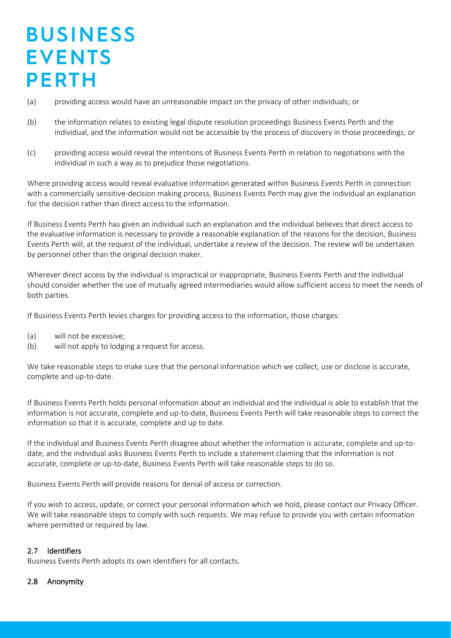- (a) providing access would have an unreasonable impact on the privacy of other individuals; or
- (b) the information relates to existing legal dispute resolution proceedings Business Events Perth and the individual, and the information would not be accessible by the process of discovery in those proceedings; or
- (c) providing access would reveal the intentions of Business Events Perth in relation to negotiations with the individual in such a way as to prejudice those negotiations.

Where providing access would reveal evaluative information generated within Business Events Perth in connection with a commercially sensitive-decision making process, Business Events Perth may give the individual an explanation for the decision rather than direct access to the information.

If Business Events Perth has given an individual such an explanation and the individual believes that direct access to the evaluative information is necessary to provide a reasonable explanation of the reasons for the decision, Business Events Perth will, at the request of the individual, undertake a review of the decision. The review will be undertaken by personnel other than the original decision maker.

Wherever direct access by the individual is impractical or inappropriate, Business Events Perth and the individual should consider whether the use of mutually agreed intermediaries would allow sufficient access to meet the needs of both parties.

If Business Events Perth levies charges for providing access to the information, those charges:

- (a) will not be excessive;
- (b) will not apply to lodging a request for access.

We take reasonable steps to make sure that the personal information which we collect, use or disclose is accurate, complete and up-to-date.

If Business Events Perth holds personal information about an individual and the individual is able to establish that the information is not accurate, complete and up-to-date, Business Events Perth will take reasonable steps to correct the information so that it is accurate, complete and up to date.

If the individual and Business Events Perth disagree about whether the information is accurate, complete and up-todate, and the individual asks Business Events Perth to include a statement claiming that the information is not accurate, complete or up-to-date, Business Events Perth will take reasonable steps to do so.

Business Events Perth will provide reasons for denial of access or correction.

If you wish to access, update, or correct your personal information which we hold, please contact our Privacy Officer. We will take reasonable steps to comply with such requests. We may refuse to provide you with certain information where permitted or required by law.

### 2.7 Identifiers

Business Events Perth adopts its own identifiers for all contacts.

### 2.8 Anonymity